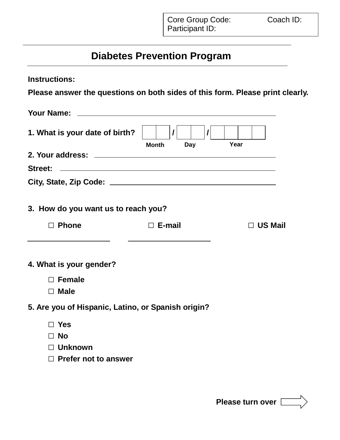## **Diabetes Prevention Program**

| <b>Instructions:</b>                                                          |                                                       |                |
|-------------------------------------------------------------------------------|-------------------------------------------------------|----------------|
| Please answer the questions on both sides of this form. Please print clearly. |                                                       |                |
|                                                                               |                                                       |                |
| 1. What is your date of birth?                                                | $\mathcal{L}$<br>$\mathcal{L}$<br><b>Month</b><br>Day | Year           |
|                                                                               |                                                       |                |
| <b>Street:</b><br><u> 1990 - Johann Stoff, amerikansk politiker (d. 1980)</u> |                                                       |                |
|                                                                               |                                                       |                |
| 3. How do you want us to reach you?                                           |                                                       |                |
| $\Box$ Phone                                                                  | $\Box$ E-mail                                         | $\Box$ US Mail |
| 4. What is your gender?                                                       |                                                       |                |
| $\Box$ Female                                                                 |                                                       |                |
| $\Box$ Male                                                                   |                                                       |                |
| 5. Are you of Hispanic, Latino, or Spanish origin?                            |                                                       |                |
| $\exists$ Yes                                                                 |                                                       |                |
| $\Box$ No                                                                     |                                                       |                |
| $\Box$ Unknown                                                                |                                                       |                |
| $\Box$ Prefer not to answer                                                   |                                                       |                |
|                                                                               |                                                       |                |

**Please turn over**